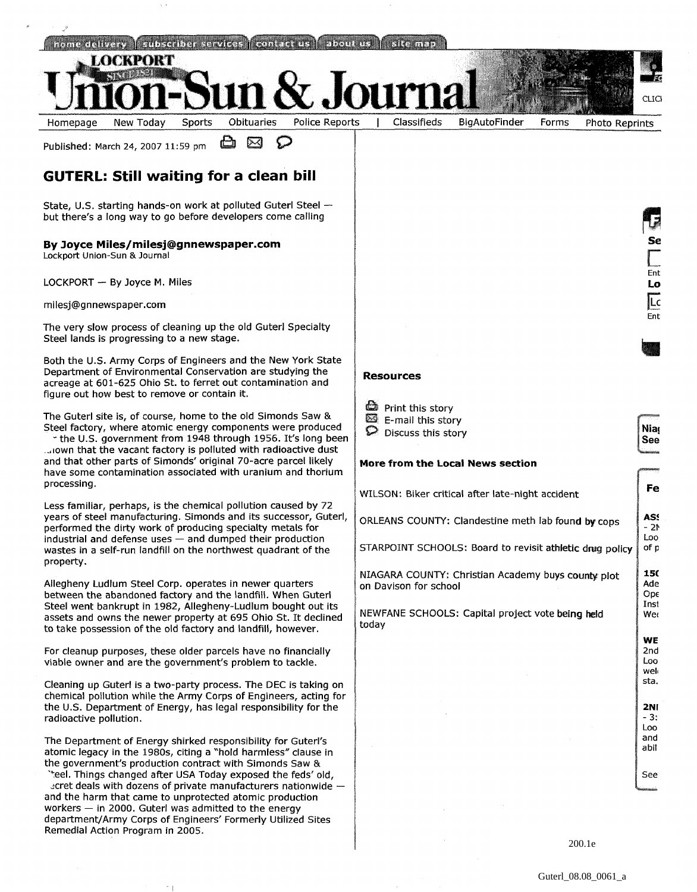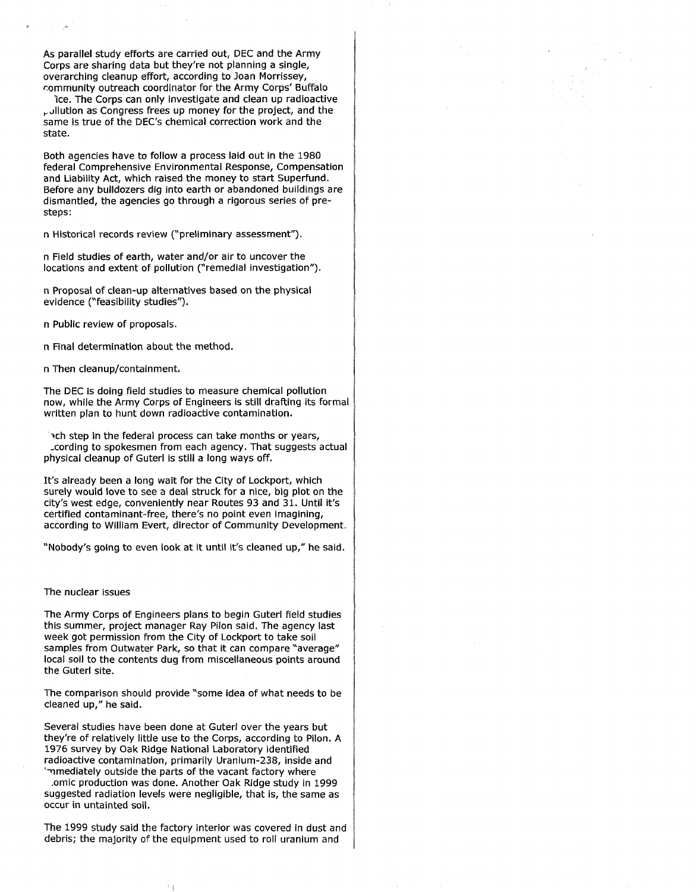As parallel study efforts are carried out, DEC and the Army Corps are sharing data but they're not planning a single, overarching cleanup effort, according to Joan Morrissey, community outreach coordinator for the Army Corps' Buffalo

'ice. The Corps can only investigate and clean up radioactive pollution as Congress frees up money for the project, and the same is true of the DEC's chemical correction work and the state.

Both agencies have to follow a process laid out in the 1980 federal Comprehensive Environmental Response, Compensation and Liability Act, which raised the money to start Superfund. Before any bulldozers dig into earth or abandoned buildings are dismantled, the agencies go through a rigorous series of presteps:

n Historical records review ("preliminary assessment").

n Field studies of earth, water and/or air to uncover the locations and extent of pollution ("remedial investigation").

n Proposal of clean-up alternatives based on the physical evidence ("feasibility studies").

n Public review of proposals.

n Final determination about the method.

n Then cleanup/containment.

The DEC is doing field studies to measure chemical pollution now, while the Army Corps of Engineers is still drafting its formal written plan to hunt down radioactive contamination.

ach step in the federal process can take months or vears, ,cording to spokesmen from each agency. That suggests actual physical cleanup of Guterl is still a long ways off.

It's already been a long wait for the City of Lockport, which surely would love to see a deal struck for a nice, big plot on the city's west edge, conveniently near Routes 93 and 31. Until it's certified contaminant-free, there's no point even imagining, according to William Evert, director of Community Development.

'Nobody's going to even look at it until it's cleaned up," he said.

## The nuclear issues

The Army Corps of Engineers plans to begin Guterl field studies this summer, project manager Ray Pilon said. The agency last week got permission from the City of Lockport to take soil samples from Outwater Park, so that it can compare "average" local soil to the contents dug from miscellaneous points around the Guterl site.

The comparison should provide "some idea of what needs to be cleaned up," he said.

Several studies have been done at Guterl over the years but they're of relatively little use to the Corps, according to Pilon. A 1976 survey by Oak Ridge National Laboratory identified radioactive contamination, primarily Uranium-238, inside and mediately outside the parts of the vacant factory where

.omic production was done. Another Oak Ridge study in 1999 suggested radiation levels were negligible, that is, the same as occur in untainted soil.

The 1999 study said the factory interior was covered in dust and debris; the majority of the equipment used to roll uranium and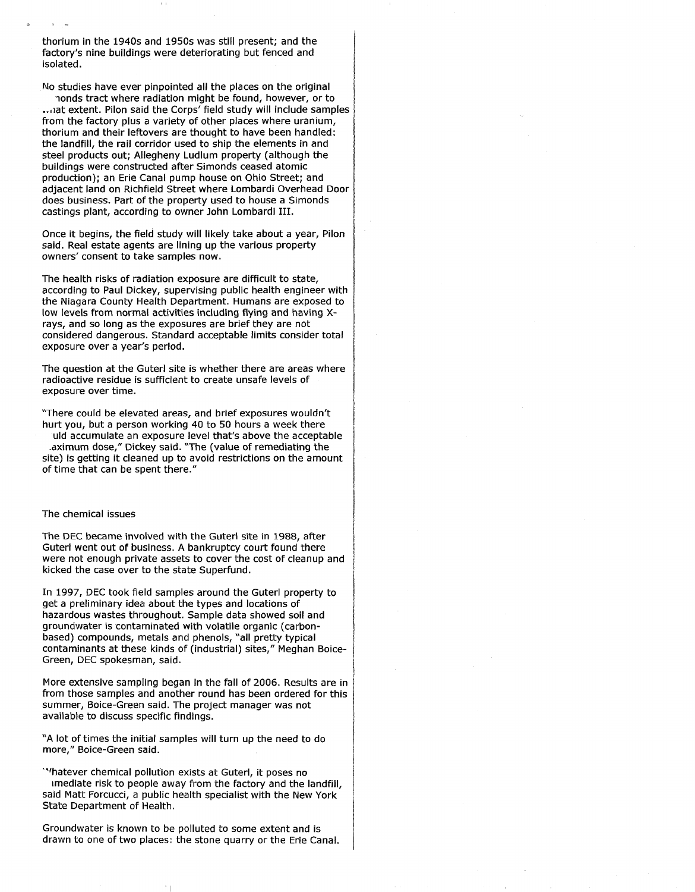thorium in the 1940s and 1950s was still present; and the factory's nine buildings were deteriorating but fenced and isolated.

No studies have ever pinpointed all the places on the original

nonds tract where radiation might be found, however, or to ... at extent. Pilon said the Corps' field study will include samples from the factory plus a variety of other places where uranium, thorium and their leftovers are thought to have been handled: the landfill, the rail corridor used to ship the elements in and steel products out; Allegheny Ludlum property (although the buildings were constructed after Simonds ceased atomic production); an Erie Canal pump house on Ohio Street; and adjacent land on Richfield Street where Lombardi Overhead Door does business. Part of the property used to house a Simonds castings plant, according to owner John Lombardi 111.

Once it begins, the field study will likely take about a year, Pilon said. Real estate agents are lining up the various property owners' consent to take samples now.

The health risks of radiation exposure are difficult to state, according to Paul Dickey, supervising public health engineer with the Niagara County Health Department. Humans are exposed to low levels from normal activities including flying and having Xrays, and so long as the exposures are brief they are not considered dangerous. Standard acceptable limits consider total exposure over a year's period.

The question at the Guterl site is whether there are areas where radioactive residue is sufficient to create unsafe levels of exposure over time.

"There could be elevated areas, and brief exposures wouldn't hurt you, but a person working 40 to 50 hours a week there uld accumulate an exposure level that's above the acceptable

.aximum dose," Dickey said. "The (value of remediating the site) is getting it cleaned up to avoid restrictions on the amount of time that can be spent there."

## The chemical issues

The DEC became involved with the Guterl site in 1988, after Guterl went out of business. A bankruptcy court found there were not enough private assets to cover the cost of cleanup and kicked the case over to the state Superfund.

In 1997, DEC took field samples around the Guterl property to get a preliminary idea about the types and locations of hazardous wastes throughout. Sample data showed soil and groundwater is contaminated with volatile organic (carbonbased) compounds, metals and phenols, 'all pretty typical contaminants at these kinds of (industrial) sites," Meghan Boice-Green, DEC spokesman, said.

More extensive sampling began in the fall of 2006. Results are in from those samples and another round has been ordered for this summer, Boice-Green said. The project manager was not available to discuss specific findings.

"A lot of times the initial samples will turn up the need to do more," Boice-Green said.

"'hatever chemical pollution exists at Guterl, it poses no mediate risk to people away from the factory and the landfill, said Matt Forcucci, a public health specialist with the New York State Department of Health.

Groundwater is known to be polluted to some extent and is drawn to one of two places: the stone quarry or the Erie Canal.